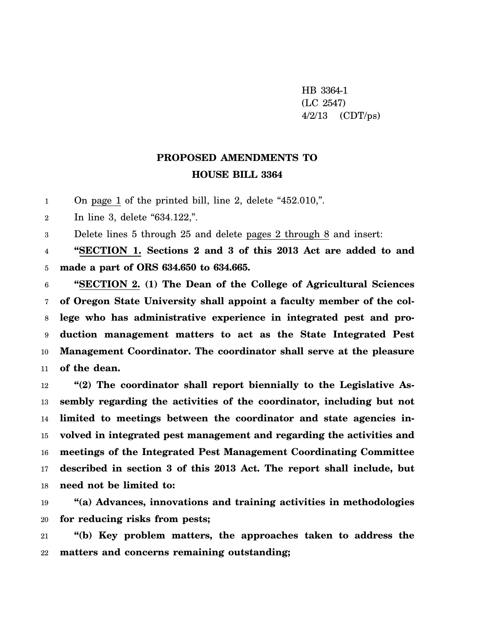HB 3364-1 (LC 2547)  $4/2/13$  (CDT/ps)

## **PROPOSED AMENDMENTS TO HOUSE BILL 3364**

1 On page 1 of the printed bill, line 2, delete "452.010,".

 $\overline{2}$ In line 3, delete "634.122,".

3 Delete lines 5 through 25 and delete pages 2 through 8 and insert:

4 5 **"SECTION 1. Sections 2 and 3 of this 2013 Act are added to and made a part of ORS 634.650 to 634.665.**

6 7 8 9 10 11 **"SECTION 2. (1) The Dean of the College of Agricultural Sciences of Oregon State University shall appoint a faculty member of the college who has administrative experience in integrated pest and production management matters to act as the State Integrated Pest Management Coordinator. The coordinator shall serve at the pleasure of the dean.**

12 13 14 15 16 17 18 **"(2) The coordinator shall report biennially to the Legislative Assembly regarding the activities of the coordinator, including but not limited to meetings between the coordinator and state agencies involved in integrated pest management and regarding the activities and meetings of the Integrated Pest Management Coordinating Committee described in section 3 of this 2013 Act. The report shall include, but need not be limited to:**

19 20 **"(a) Advances, innovations and training activities in methodologies for reducing risks from pests;**

21 22 **"(b) Key problem matters, the approaches taken to address the matters and concerns remaining outstanding;**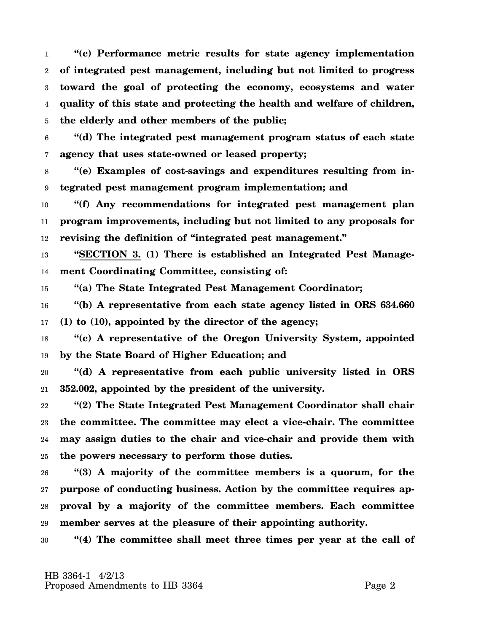1 2 3 4 5 **"(c) Performance metric results for state agency implementation of integrated pest management, including but not limited to progress toward the goal of protecting the economy, ecosystems and water quality of this state and protecting the health and welfare of children, the elderly and other members of the public;**

6 7 **"(d) The integrated pest management program status of each state agency that uses state-owned or leased property;**

8 9 **"(e) Examples of cost-savings and expenditures resulting from integrated pest management program implementation; and**

10 11 12 **"(f) Any recommendations for integrated pest management plan program improvements, including but not limited to any proposals for revising the definition of "integrated pest management."**

13 14 **"SECTION 3. (1) There is established an Integrated Pest Management Coordinating Committee, consisting of:**

15 **"(a) The State Integrated Pest Management Coordinator;**

16 17 **"(b) A representative from each state agency listed in ORS 634.660 (1) to (10), appointed by the director of the agency;**

18 19 **"(c) A representative of the Oregon University System, appointed by the State Board of Higher Education; and**

20 21 **"(d) A representative from each public university listed in ORS 352.002, appointed by the president of the university.**

22 23 24 25 **"(2) The State Integrated Pest Management Coordinator shall chair the committee. The committee may elect a vice-chair. The committee may assign duties to the chair and vice-chair and provide them with the powers necessary to perform those duties.**

26 27 28 29 **"(3) A majority of the committee members is a quorum, for the purpose of conducting business. Action by the committee requires approval by a majority of the committee members. Each committee member serves at the pleasure of their appointing authority.**

30 **"(4) The committee shall meet three times per year at the call of**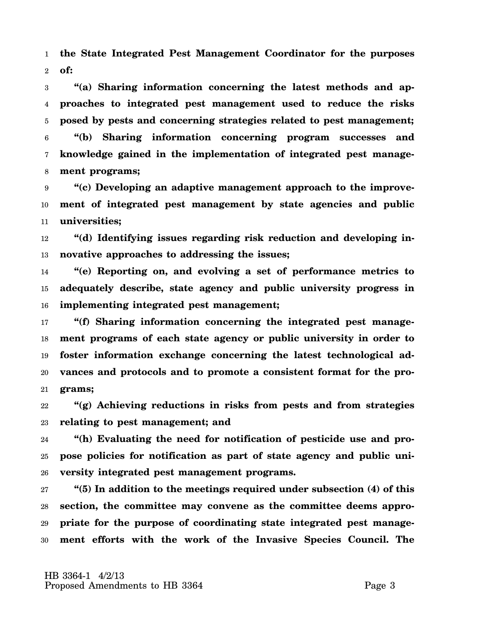1 2 **the State Integrated Pest Management Coordinator for the purposes of:**

3 4 5 6 7 8 **"(a) Sharing information concerning the latest methods and approaches to integrated pest management used to reduce the risks posed by pests and concerning strategies related to pest management; "(b) Sharing information concerning program successes and knowledge gained in the implementation of integrated pest management programs;**

9 10 11 **"(c) Developing an adaptive management approach to the improvement of integrated pest management by state agencies and public universities;**

12 13 **"(d) Identifying issues regarding risk reduction and developing innovative approaches to addressing the issues;**

14 15 16 **"(e) Reporting on, and evolving a set of performance metrics to adequately describe, state agency and public university progress in implementing integrated pest management;**

17 18 19 20 21 **"(f) Sharing information concerning the integrated pest management programs of each state agency or public university in order to foster information exchange concerning the latest technological advances and protocols and to promote a consistent format for the programs;**

22 23 **"(g) Achieving reductions in risks from pests and from strategies relating to pest management; and**

24 25 26 **"(h) Evaluating the need for notification of pesticide use and propose policies for notification as part of state agency and public university integrated pest management programs.**

27 28 29 30 **"(5) In addition to the meetings required under subsection (4) of this section, the committee may convene as the committee deems appropriate for the purpose of coordinating state integrated pest management efforts with the work of the Invasive Species Council. The**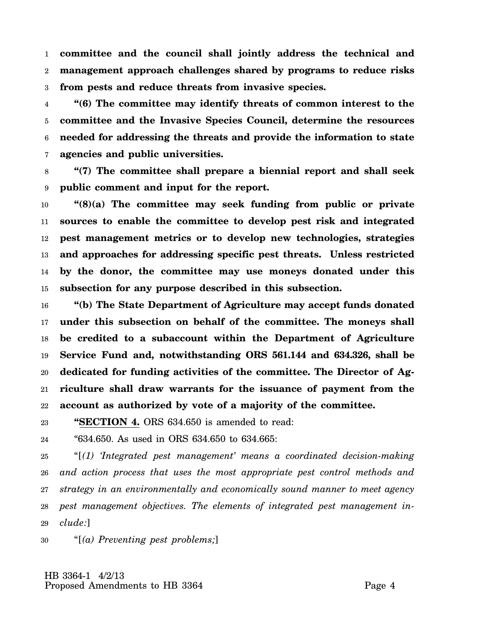1 2 3 **committee and the council shall jointly address the technical and management approach challenges shared by programs to reduce risks from pests and reduce threats from invasive species.**

4 5 6 7 **"(6) The committee may identify threats of common interest to the committee and the Invasive Species Council, determine the resources needed for addressing the threats and provide the information to state agencies and public universities.**

8 9 **"(7) The committee shall prepare a biennial report and shall seek public comment and input for the report.**

10 11 12 13 14 15 **"(8)(a) The committee may seek funding from public or private sources to enable the committee to develop pest risk and integrated pest management metrics or to develop new technologies, strategies and approaches for addressing specific pest threats. Unless restricted by the donor, the committee may use moneys donated under this subsection for any purpose described in this subsection.**

16 17 18 19 20 21 22 **"(b) The State Department of Agriculture may accept funds donated under this subsection on behalf of the committee. The moneys shall be credited to a subaccount within the Department of Agriculture Service Fund and, notwithstanding ORS 561.144 and 634.326, shall be dedicated for funding activities of the committee. The Director of Agriculture shall draw warrants for the issuance of payment from the account as authorized by vote of a majority of the committee.**

23 **"SECTION 4.** ORS 634.650 is amended to read:

24 "634.650. As used in ORS 634.650 to 634.665:

25 26 27 28 29 "[*(1) 'Integrated pest management' means a coordinated decision-making and action process that uses the most appropriate pest control methods and strategy in an environmentally and economically sound manner to meet agency pest management objectives. The elements of integrated pest management include:*]

30 "[*(a) Preventing pest problems;*]

 HB 3364-1 4/2/13 Proposed Amendments to HB 3364 Page 4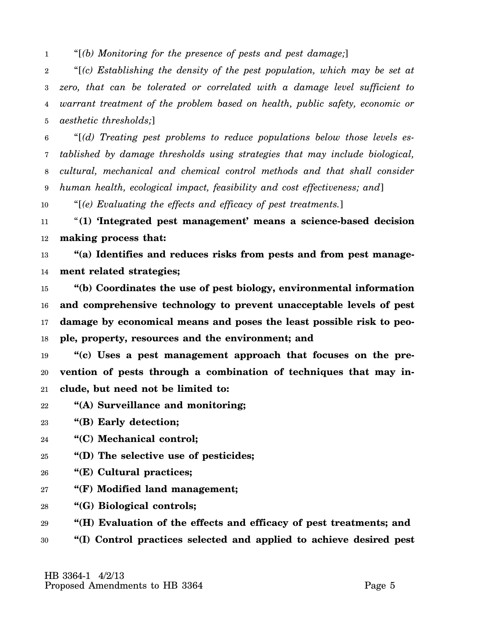1 "[*(b) Monitoring for the presence of pests and pest damage;*]

2 3 4 5 "[*(c) Establishing the density of the pest population, which may be set at zero, that can be tolerated or correlated with a damage level sufficient to warrant treatment of the problem based on health, public safety, economic or aesthetic thresholds;*]

6 7 8 9 "[*(d) Treating pest problems to reduce populations below those levels established by damage thresholds using strategies that may include biological, cultural, mechanical and chemical control methods and that shall consider human health, ecological impact, feasibility and cost effectiveness; and*]

10 "[*(e) Evaluating the effects and efficacy of pest treatments.*]

11 12 "**(1) 'Integrated pest management' means a science-based decision making process that:**

13 14 **"(a) Identifies and reduces risks from pests and from pest management related strategies;**

15 16 17 18 **"(b) Coordinates the use of pest biology, environmental information and comprehensive technology to prevent unacceptable levels of pest damage by economical means and poses the least possible risk to people, property, resources and the environment; and**

19 20 21 **"(c) Uses a pest management approach that focuses on the prevention of pests through a combination of techniques that may include, but need not be limited to:**

- 22 **"(A) Surveillance and monitoring;**
- 23 **"(B) Early detection;**
- 24 **"(C) Mechanical control;**
- 25 **"(D) The selective use of pesticides;**
- 26 **"(E) Cultural practices;**
- 27 **"(F) Modified land management;**
- 28 **"(G) Biological controls;**
- 29 **"(H) Evaluation of the effects and efficacy of pest treatments; and**
- 30 **"(I) Control practices selected and applied to achieve desired pest**

 HB 3364-1 4/2/13 Proposed Amendments to HB 3364 Page 5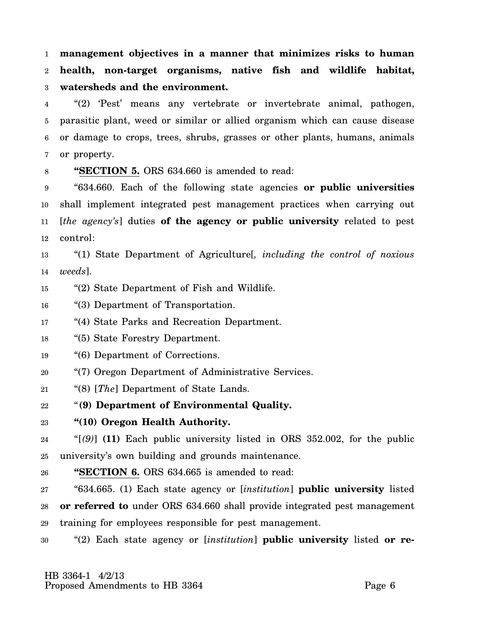1 2 3 **management objectives in a manner that minimizes risks to human health, non-target organisms, native fish and wildlife habitat, watersheds and the environment.**

4 5 6 7 "(2) 'Pest' means any vertebrate or invertebrate animal, pathogen, parasitic plant, weed or similar or allied organism which can cause disease or damage to crops, trees, shrubs, grasses or other plants, humans, animals or property.

8

**"SECTION 5.** ORS 634.660 is amended to read:

9 10 11 12 "634.660. Each of the following state agencies **or public universities** shall implement integrated pest management practices when carrying out [*the agency's*] duties **of the agency or public university** related to pest control:

13 14 "(1) State Department of Agriculture[*, including the control of noxious weeds*].

15 "(2) State Department of Fish and Wildlife.

16 "(3) Department of Transportation.

- 17 "(4) State Parks and Recreation Department.
- 18 "(5) State Forestry Department.
- 19 "(6) Department of Corrections.
- 20 "(7) Oregon Department of Administrative Services.
- 21 "(8) [*The*] Department of State Lands.
- 22 "**(9) Department of Environmental Quality.**
- 23 **"(10) Oregon Health Authority.**

24 25 "[*(9)*] **(11)** Each public university listed in ORS 352.002, for the public university's own building and grounds maintenance.

26 **"SECTION 6.** ORS 634.665 is amended to read:

27 28 29 "634.665. (1) Each state agency or [*institution*] **public university** listed **or referred to** under ORS 634.660 shall provide integrated pest management training for employees responsible for pest management.

30 "(2) Each state agency or [*institution*] **public university** listed **or re-**

 HB 3364-1 4/2/13 Proposed Amendments to HB 3364 Page 6